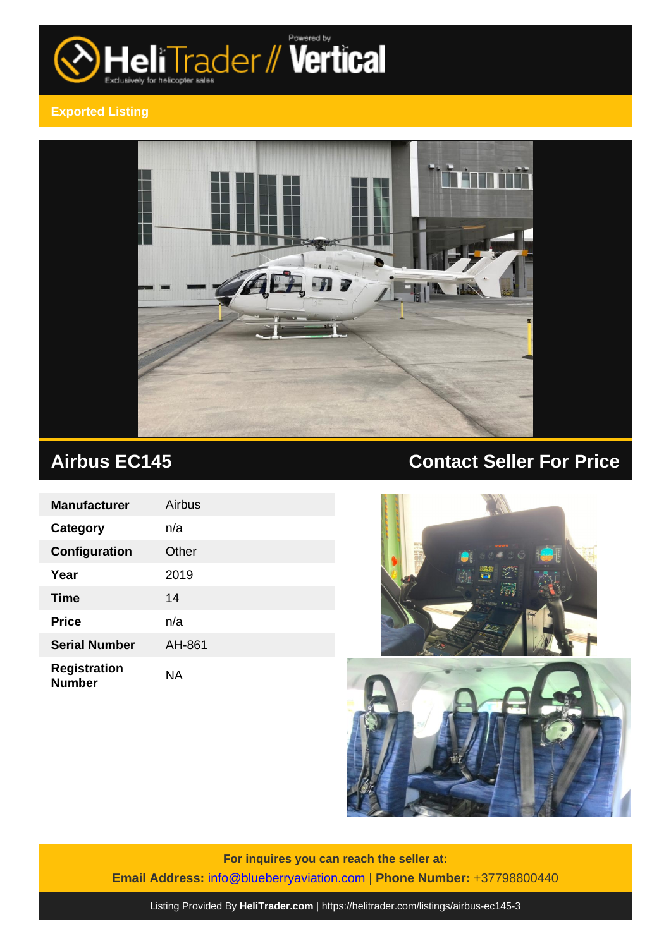

# **Exported Listing**



| <b>Manufacturer</b>                  | Airbus    |
|--------------------------------------|-----------|
| <b>Category</b>                      | n/a       |
| Configuration                        | Other     |
| Year                                 | 2019      |
| Time                                 | 14        |
| <b>Price</b>                         | n/a       |
| <b>Serial Number</b>                 | AH-861    |
| <b>Registration</b><br><b>Number</b> | <b>NA</b> |

# **Airbus EC145 Contact Seller For Price**





**For inquires you can reach the seller at: Email Address:** [info@blueberryaviation.com](mailto:info@blueberryaviation.com,) | **Phone Number:** +37798800440

Listing Provided By **[HeliTrader.com](https://helitrader.com)** | <https://helitrader.com/listings/airbus-ec145-3>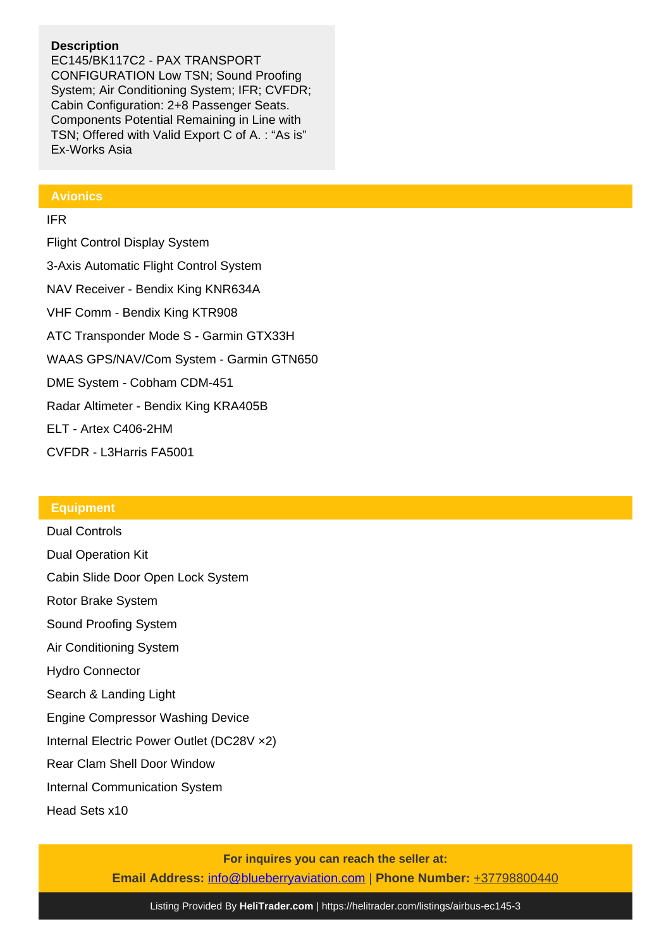# **Description**

EC145/BK117C2 - PAX TRANSPORT CONFIGURATION Low TSN; Sound Proofing System; Air Conditioning System; IFR; CVFDR; Cabin Configuration: 2+8 Passenger Seats. Components Potential Remaining in Line with TSN; Offered with Valid Export C of A. : "As is" Ex-Works Asia

### **Avionics**

### IFR

Flight Control Display System 3-Axis Automatic Flight Control System NAV Receiver - Bendix King KNR634A VHF Comm - Bendix King KTR908 ATC Transponder Mode S - Garmin GTX33H WAAS GPS/NAV/Com System - Garmin GTN650 DME System - Cobham CDM-451 Radar Altimeter - Bendix King KRA405B ELT - Artex C406-2HM CVFDR - L3Harris FA5001

## **Equipment**

Dual Controls Dual Operation Kit Cabin Slide Door Open Lock System Rotor Brake System Sound Proofing System Air Conditioning System Hydro Connector Search & Landing Light Engine Compressor Washing Device Internal Electric Power Outlet (DC28V ×2) Rear Clam Shell Door Window Internal Communication System Head Sets x10

> **For inquires you can reach the seller at: Email Address:** [info@blueberryaviation.com](mailto:info@blueberryaviation.com,) | **Phone Number:** +37798800440

Listing Provided By **[HeliTrader.com](https://helitrader.com)** | <https://helitrader.com/listings/airbus-ec145-3>